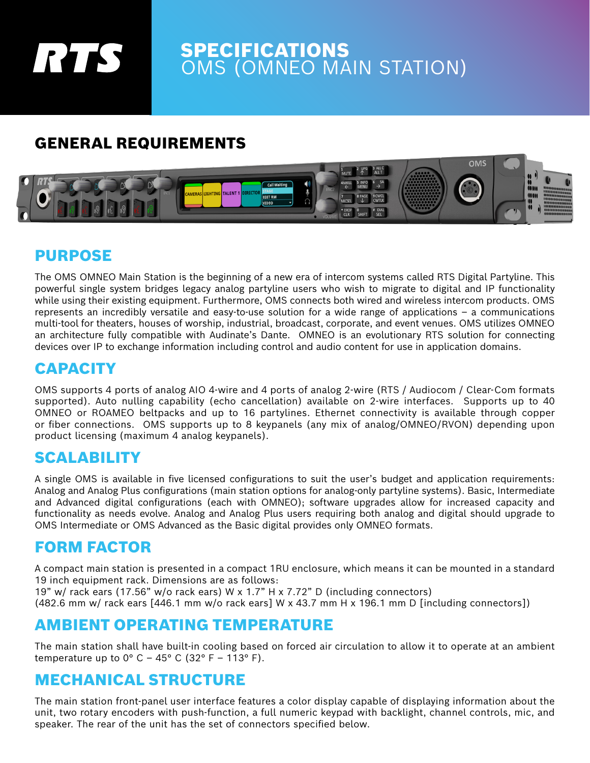# SPECIFICATIONS OMS (OMNEO MAIN STATION)

## GENERAL REQUIREMENTS



### PURPOSE

The OMS OMNEO Main Station is the beginning of a new era of intercom systems called RTS Digital Partyline. This powerful single system bridges legacy analog partyline users who wish to migrate to digital and IP functionality while using their existing equipment. Furthermore, OMS connects both wired and wireless intercom products. OMS represents an incredibly versatile and easy-to-use solution for a wide range of applications – a communications multi-tool for theaters, houses of worship, industrial, broadcast, corporate, and event venues. OMS utilizes OMNEO an architecture fully compatible with Audinate's Dante. OMNEO is an evolutionary RTS solution for connecting devices over IP to exchange information including control and audio content for use in application domains.

## CAPACITY

OMS supports 4 ports of analog AIO 4-wire and 4 ports of analog 2-wire (RTS / Audiocom / Clear-Com formats supported). Auto nulling capability (echo cancellation) available on 2-wire interfaces. Supports up to 40 OMNEO or ROAMEO beltpacks and up to 16 partylines. Ethernet connectivity is available through copper or fiber connections. OMS supports up to 8 keypanels (any mix of analog/OMNEO/RVON) depending upon product licensing (maximum 4 analog keypanels).

#### SCALABILITY

A single OMS is available in five licensed configurations to suit the user's budget and application requirements: Analog and Analog Plus configurations (main station options for analog-only partyline systems). Basic, Intermediate and Advanced digital configurations (each with OMNEO); software upgrades allow for increased capacity and functionality as needs evolve. Analog and Analog Plus users requiring both analog and digital should upgrade to OMS Intermediate or OMS Advanced as the Basic digital provides only OMNEO formats.

### FORM FACTOR

A compact main station is presented in a compact 1RU enclosure, which means it can be mounted in a standard 19 inch equipment rack. Dimensions are as follows:

19" w/ rack ears (17.56" w/o rack ears) W x 1.7" H x 7.72" D (including connectors) (482.6 mm w/ rack ears [446.1 mm w/o rack ears] W x 43.7 mm H x 196.1 mm D [including connectors])

## AMBIENT OPERATING TEMPERATURE

The main station shall have built-in cooling based on forced air circulation to allow it to operate at an ambient temperature up to  $0^{\circ}$  C – 45° C (32° F – 113° F).

#### MECHANICAL STRUCTURE

The main station front-panel user interface features a color display capable of displaying information about the unit, two rotary encoders with push-function, a full numeric keypad with backlight, channel controls, mic, and speaker. The rear of the unit has the set of connectors specified below.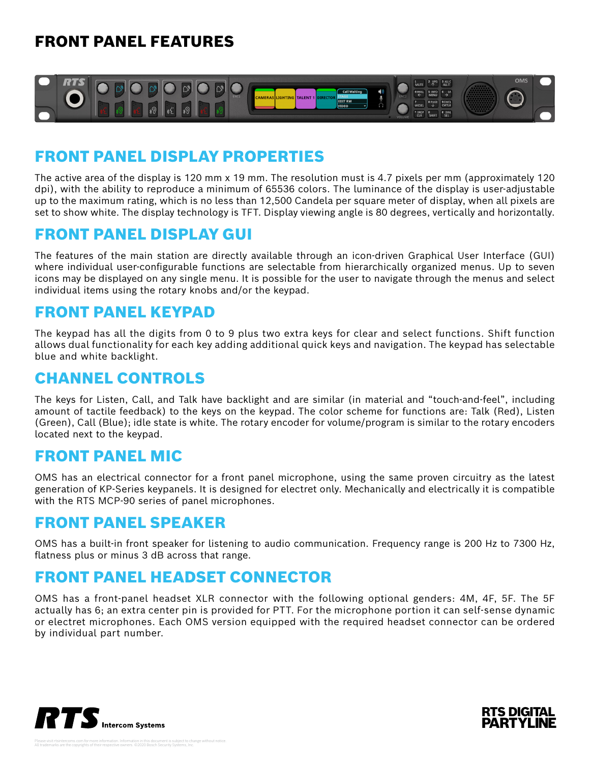## FRONT PANEL FEATURES



## FRONT PANEL DISPLAY PROPERTIES

The active area of the display is 120 mm x 19 mm. The resolution must is 4.7 pixels per mm (approximately 120 dpi), with the ability to reproduce a minimum of 65536 colors. The luminance of the display is user-adjustable up to the maximum rating, which is no less than 12,500 Candela per square meter of display, when all pixels are set to show white. The display technology is TFT. Display viewing angle is 80 degrees, vertically and horizontally.

### FRONT PANEL DISPLAY GUI

The features of the main station are directly available through an icon-driven Graphical User Interface (GUI) where individual user-configurable functions are selectable from hierarchically organized menus. Up to seven icons may be displayed on any single menu. It is possible for the user to navigate through the menus and select individual items using the rotary knobs and/or the keypad.

### FRONT PANEL KEYPAD

The keypad has all the digits from 0 to 9 plus two extra keys for clear and select functions. Shift function allows dual functionality for each key adding additional quick keys and navigation. The keypad has selectable blue and white backlight.

#### CHANNEL CONTROLS

The keys for Listen, Call, and Talk have backlight and are similar (in material and "touch-and-feel", including amount of tactile feedback) to the keys on the keypad. The color scheme for functions are: Talk (Red), Listen (Green), Call (Blue); idle state is white. The rotary encoder for volume/program is similar to the rotary encoders located next to the keypad.

### FRONT PANEL MIC

OMS has an electrical connector for a front panel microphone, using the same proven circuitry as the latest generation of KP-Series keypanels. It is designed for electret only. Mechanically and electrically it is compatible with the RTS MCP-90 series of panel microphones.

#### FRONT PANEL SPEAKER

OMS has a built-in front speaker for listening to audio communication. Frequency range is 200 Hz to 7300 Hz, flatness plus or minus 3 dB across that range.

## FRONT PANEL HEADSET CONNECTOR

OMS has a front-panel headset XLR connector with the following optional genders: 4M, 4F, 5F. The 5F actually has 6; an extra center pin is provided for PTT. For the microphone portion it can self-sense dynamic or electret microphones. Each OMS version equipped with the required headset connector can be ordered by individual part number.